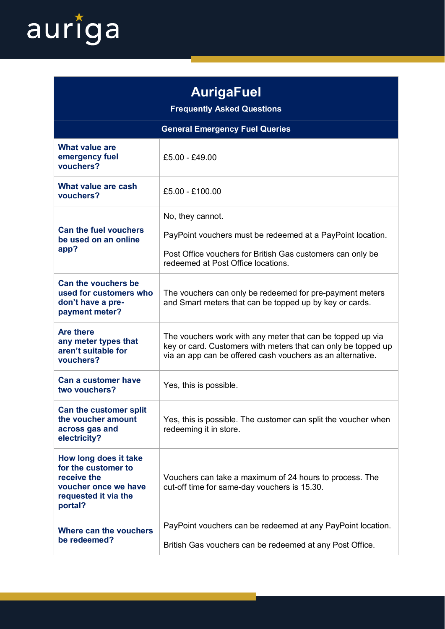

| <b>AurigaFuel</b><br><b>Frequently Asked Questions</b>                                                                 |                                                                                                                                                                                           |
|------------------------------------------------------------------------------------------------------------------------|-------------------------------------------------------------------------------------------------------------------------------------------------------------------------------------------|
| <b>General Emergency Fuel Queries</b>                                                                                  |                                                                                                                                                                                           |
| <b>What value are</b><br>emergency fuel<br>vouchers?                                                                   | £5.00 - £49.00                                                                                                                                                                            |
| What value are cash<br>vouchers?                                                                                       | £5.00 - £100.00                                                                                                                                                                           |
| <b>Can the fuel vouchers</b><br>be used on an online<br>app?                                                           | No, they cannot.<br>PayPoint vouchers must be redeemed at a PayPoint location.<br>Post Office vouchers for British Gas customers can only be<br>redeemed at Post Office locations.        |
| Can the vouchers be<br>used for customers who<br>don't have a pre-<br>payment meter?                                   | The vouchers can only be redeemed for pre-payment meters<br>and Smart meters that can be topped up by key or cards.                                                                       |
| <b>Are there</b><br>any meter types that<br>aren't suitable for<br>vouchers?                                           | The vouchers work with any meter that can be topped up via<br>key or card. Customers with meters that can only be topped up<br>via an app can be offered cash vouchers as an alternative. |
| Can a customer have<br>two vouchers?                                                                                   | Yes, this is possible.                                                                                                                                                                    |
| Can the customer split<br>the voucher amount<br>across gas and<br>electricity?                                         | Yes, this is possible. The customer can split the voucher when<br>redeeming it in store.                                                                                                  |
| How long does it take<br>for the customer to<br>receive the<br>voucher once we have<br>requested it via the<br>portal? | Vouchers can take a maximum of 24 hours to process. The<br>cut-off time for same-day vouchers is 15.30.                                                                                   |
| Where can the vouchers<br>be redeemed?                                                                                 | PayPoint vouchers can be redeemed at any PayPoint location.<br>British Gas vouchers can be redeemed at any Post Office.                                                                   |